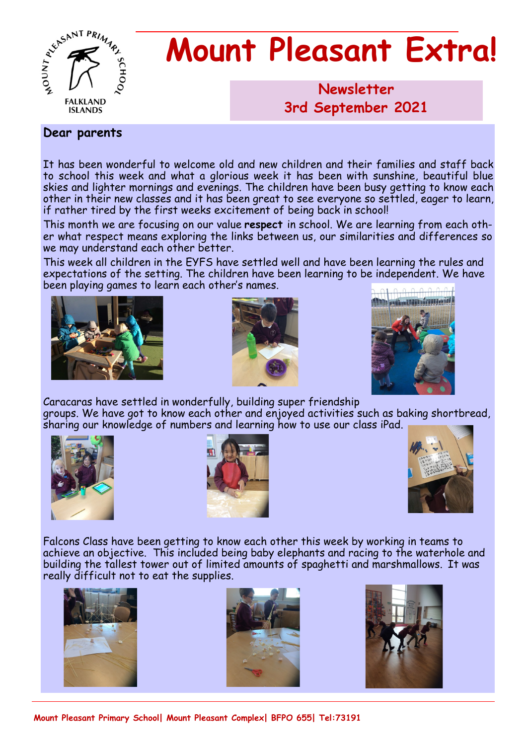

# **Mount Pleasant Extra!**

# **Newsletter 1986 3rd September 2021**

# **Dear parents**

It has been wonderful to welcome old and new children and their families and staff back to school this week and what a glorious week it has been with sunshine, beautiful blue skies and lighter mornings and evenings. The children have been busy getting to know each other in their new classes and it has been great to see everyone so settled, eager to learn, if rather tired by the first weeks excitement of being back in school!

This month we are focusing on our value **respect** in school. We are learning from each other what respect means exploring the links between us, our similarities and differences so we may understand each other better.

This week all children in the EYFS have settled well and have been learning the rules and expectations of the setting. The children have been learning to be independent. We have been playing games to learn each other's names.







Caracaras have settled in wonderfully, building super friendship groups. We have got to know each other and enjoyed activities such as baking shortbread, sharing our knowledge of numbers and learning how to use our class iPad.







Falcons Class have been getting to know each other this week by working in teams to achieve an objective. This included being baby elephants and racing to the waterhole and building the tallest tower out of limited amounts of spaghetti and marshmallows. It was really difficult not to eat the supplies.







**Mount Pleasant Primary School| Mount Pleasant Complex| BFPO 655| Tel:73191**